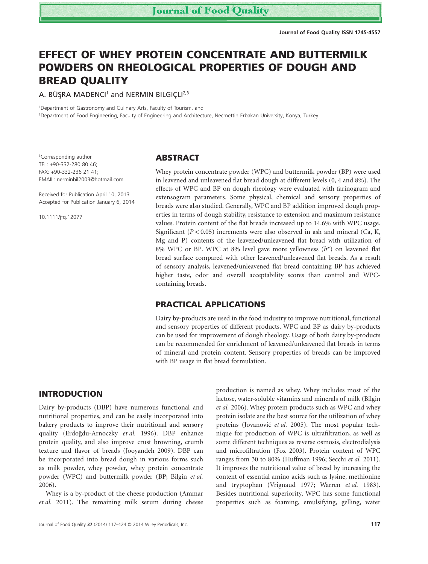# **EFFECT OF WHEY PROTEIN CONCENTRATE AND BUTTERMILK POWDERS ON RHEOLOGICAL PROPERTIES OF DOUGH AND BREAD QUALITY**

A. BÜŞRA MADENCI<sup>1</sup> and NERMIN BILGIÇLI<sup>2,3</sup>

<sup>1</sup>Department of Gastronomy and Culinary Arts, Faculty of Tourism, and

2 Department of Food Engineering, Faculty of Engineering and Architecture, Necmettin Erbakan University, Konya, Turkey

<sup>3</sup>Corresponding author. TEL: +90-332-280 80 46; FAX: +90-332-236 21 41; EMAIL: nerminbil2003@hotmail.com

Received for Publication April 10, 2013 Accepted for Publication January 6, 2014

10.1111/jfq.12077

bs\_bs\_banner

## **ABSTRACT**

Whey protein concentrate powder (WPC) and buttermilk powder (BP) were used in leavened and unleavened flat bread dough at different levels (0, 4 and 8%). The effects of WPC and BP on dough rheology were evaluated with farinogram and extensogram parameters. Some physical, chemical and sensory properties of breads were also studied. Generally, WPC and BP addition improved dough properties in terms of dough stability, resistance to extension and maximum resistance values. Protein content of the flat breads increased up to 14.6% with WPC usage. Significant  $(P < 0.05)$  increments were also observed in ash and mineral  $(Ca, K, Cb)$ Mg and P) contents of the leavened/unleavened flat bread with utilization of 8% WPC or BP. WPC at 8% level gave more yellowness (*b*\*) on leavened flat bread surface compared with other leavened/unleavened flat breads. As a result of sensory analysis, leavened/unleavened flat bread containing BP has achieved higher taste, odor and overall acceptability scores than control and WPCcontaining breads.

# **PRACTICAL APPLICATIONS**

Dairy by-products are used in the food industry to improve nutritional, functional and sensory properties of different products. WPC and BP as dairy by-products can be used for improvement of dough rheology. Usage of both dairy by-products can be recommended for enrichment of leavened/unleavened flat breads in terms of mineral and protein content. Sensory properties of breads can be improved with BP usage in flat bread formulation.

## **INTRODUCTION**

Dairy by-products (DBP) have numerous functional and nutritional properties, and can be easily incorporated into bakery products to improve their nutritional and sensory quality (Erdoğdu-Arnoczky et al. 1996). DBP enhance protein quality, and also improve crust browning, crumb texture and flavor of breads (Jooyandeh 2009). DBP can be incorporated into bread dough in various forms such as milk powder, whey powder, whey protein concentrate powder (WPC) and buttermilk powder (BP; Bilgin *et al.* 2006).

Whey is a by-product of the cheese production (Ammar *et al.* 2011). The remaining milk serum during cheese production is named as whey. Whey includes most of the lactose, water-soluble vitamins and minerals of milk (Bilgin *et al.* 2006). Whey protein products such as WPC and whey protein isolate are the best source for the utilization of whey proteins (Jovanović *et al.* 2005). The most popular technique for production of WPC is ultrafiltration, as well as some different techniques as reverse osmosis, electrodialysis and microfiltration (Fox 2003). Protein content of WPC ranges from 30 to 80% (Huffman 1996; Secchi *et al.* 2011). It improves the nutritional value of bread by increasing the content of essential amino acids such as lysine, methionine and tryptophan (Vrignaud 1977; Warren *et al.* 1983). Besides nutritional superiority, WPC has some functional properties such as foaming, emulsifying, gelling, water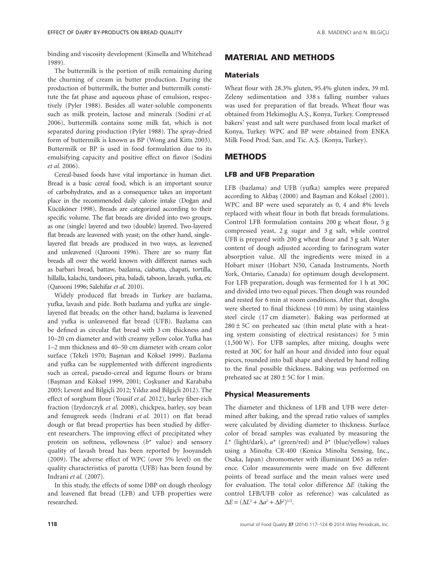binding and viscosity development (Kinsella and Whitehead 1989).

The buttermilk is the portion of milk remaining during the churning of cream in butter production. During the production of buttermilk, the butter and buttermilk constitute the fat phase and aqueous phase of emulsion, respectively (Pyler 1988). Besides all water-soluble components such as milk protein, lactose and minerals (Sodini *et al.* 2006), buttermilk contains some milk fat, which is not separated during production (Pyler 1988). The spray-dried form of buttermilk is known as BP (Wong and Kitts 2003). Buttermilk or BP is used in food formulation due to its emulsifying capacity and positive effect on flavor (Sodini *et al.* 2006).

Cereal-based foods have vital importance in human diet. Bread is a basic cereal food, which is an important source of carbohydrates, and as a consequence takes an important place in the recommended daily calorie intake (Doğan and Kücüköner 1998). Breads are categorized according to their specific volume. The flat breads are divided into two groups, as one (single) layered and two (double) layered. Two-layered flat breads are leavened with yeast; on the other hand, singlelayered flat breads are produced in two ways, as leavened and unleavened (Qarooni 1996). There are so many flat breads all over the world known with different names such as barbari bread, battaw, bazlama, ciabatta, chapati, tortilla, hillalla, kalachi, tandoori, pita, baladi, taboon, lavash, yufka, etc (Qarooni 1996; Salehifar *et al.* 2010).

Widely produced flat breads in Turkey are bazlama, yufka, lavash and pide. Both bazlama and yufka are singlelayered flat breads; on the other hand, bazlama is leavened and yufka is unleavened flat bread (UFB). Bazlama can be defined as circular flat bread with 3 cm thickness and 10–20 cm diameter and with creamy yellow color. Yufka has 1–2 mm thickness and 40–50 cm diameter with cream color surface (Tekeli 1970; Başman and Köksel 1999). Bazlama and yufka can be supplemented with different ingredients such as cereal, pseudo-cereal and legume flours or brans (Basman and Köksel 1999, 2001; Coskuner and Karababa 2005; Levent and Bilgiçli 2012; Yıldız and Bilgiçli 2012). The effect of sorghum flour (Yousif *et al.* 2012), barley fiber-rich fraction (Izydorczyk *et al.* 2008), chickpea, barley, soy bean and fenugreek seeds (Indrani *et al.* 2011) on flat bread dough or flat bread properties has been studied by different researchers. The improving effect of precipitated whey protein on softness, yellowness (*b*\* value) and sensory quality of lavash bread has been reported by Jooyandeh (2009). The adverse effect of WPC (over 5% level) on the quality characteristics of parotta (UFB) has been found by Indrani *et al.* (2007).

In this study, the effects of some DBP on dough rheology and leavened flat bread (LFB) and UFB properties were researched.

# **MATERIAL AND METHODS**

## **Materials**

Wheat flour with 28.3% gluten, 95.4% gluten index, 39 mL Zeleny sedimentation and 338 s falling number values was used for preparation of flat breads. Wheat flour was obtained from Hekimoğlu A.Ş., Konya, Turkey. Compressed bakers' yeast and salt were purchased from local market of Konya, Turkey. WPC and BP were obtained from ENKA Milk Food Prod. San. and Tic. A.S¸. (Konya, Turkey).

## **METHODS**

#### **LFB and UFB Preparation**

LFB (bazlama) and UFB (yufka) samples were prepared according to Akbaş (2000) and Başman and Köksel (2001). WPC and BP were used separately as 0, 4 and 8% levels replaced with wheat flour in both flat breads formulations. Control LFB formulation contains 200 g wheat flour, 5 g compressed yeast, 2 g sugar and 3 g salt, while control UFB is prepared with 200 g wheat flour and 3 g salt. Water content of dough adjusted according to farinogram water absorption value. All the ingredients were mixed in a Hobart mixer (Hobart N50, Canada Instruments, North York, Ontario, Canada) for optimum dough development. For LFB preparation, dough was fermented for 1 h at 30C and divided into two equal pieces. Then dough was rounded and rested for 6 min at room conditions. After that, doughs were sheeted to final thickness (10 mm) by using stainless steel circle (17 cm diameter). Baking was performed at  $280 \pm 5C$  on preheated sac (thin metal plate with a heating system consisting of electrical resistances) for 5 min (1,500 W). For UFB samples, after mixing, doughs were rested at 30C for half an hour and divided into four equal pieces, rounded into ball shape and sheeted by hand rolling to the final possible thickness. Baking was performed on preheated sac at  $280 \pm 5C$  for 1 min.

## **Physical Measurements**

The diameter and thickness of LFB and UFB were determined after baking, and the spread ratio values of samples were calculated by dividing diameter to thickness. Surface color of bread samples was evaluated by measuring the  $L^*$  (light/dark),  $a^*$  (green/red) and  $b^*$  (blue/yellow) values using a Minolta CR-400 (Konica Minolta Sensing, Inc., Osaka, Japan) chromometer with illuminant D65 as reference. Color measurements were made on five different points of bread surface and the mean values were used for evaluation. The total color difference Δ*E* (taking the control LFB/UFB color as reference) was calculated as  $\Delta E = (\Delta L^2 + \Delta a^2 + \Delta b^2)^{1/2}.$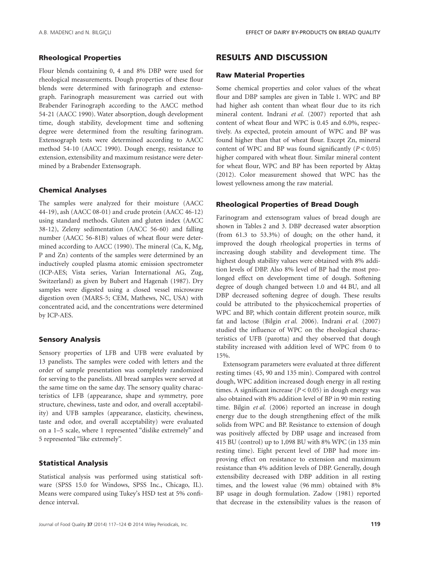## **Rheological Properties**

Flour blends containing 0, 4 and 8% DBP were used for rheological measurements. Dough properties of these flour blends were determined with farinograph and extensograph. Farinograph measurement was carried out with Brabender Farinograph according to the AACC method 54-21 (AACC 1990). Water absorption, dough development time, dough stability, development time and softening degree were determined from the resulting farinogram. Extensograph tests were determined according to AACC method 54-10 (AACC 1990). Dough energy, resistance to extension, extensibility and maximum resistance were determined by a Brabender Extensograph.

### **Chemical Analyses**

The samples were analyzed for their moisture (AACC 44-19), ash (AACC 08-01) and crude protein (AACC 46-12) using standard methods. Gluten and gluten index (AACC 38-12), Zeleny sedimentation (AACC 56-60) and falling number (AACC 56-81B) values of wheat flour were determined according to AACC (1990). The mineral (Ca, K, Mg, P and Zn) contents of the samples were determined by an inductively coupled plasma atomic emission spectrometer (ICP-AES; Vista series, Varian International AG, Zug, Switzerland) as given by Bubert and Hagenah (1987). Dry samples were digested using a closed vessel microwave digestion oven (MARS-5; CEM, Mathews, NC, USA) with concentrated acid, and the concentrations were determined by ICP-AES.

### **Sensory Analysis**

Sensory properties of LFB and UFB were evaluated by 13 panelists. The samples were coded with letters and the order of sample presentation was completely randomized for serving to the panelists. All bread samples were served at the same time on the same day. The sensory quality characteristics of LFB (appearance, shape and symmetry, pore structure, chewiness, taste and odor, and overall acceptability) and UFB samples (appearance, elasticity, chewiness, taste and odor, and overall acceptability) were evaluated on a 1–5 scale, where 1 represented "dislike extremely" and 5 represented "like extremely".

## **Statistical Analysis**

Statistical analysis was performed using statistical software (SPSS 15.0 for Windows, SPSS Inc., Chicago, IL). Means were compared using Tukey's HSD test at 5% confidence interval.

# **RESULTS AND DISCUSSION**

### **Raw Material Properties**

Some chemical properties and color values of the wheat flour and DBP samples are given in Table 1. WPC and BP had higher ash content than wheat flour due to its rich mineral content. Indrani *et al.* (2007) reported that ash content of wheat flour and WPC is 0.45 and 6.0%, respectively. As expected, protein amount of WPC and BP was found higher than that of wheat flour. Except Zn, mineral content of WPC and BP was found significantly  $(P < 0.05)$ higher compared with wheat flour. Similar mineral content for wheat flour, WPC and BP has been reported by Aktaş (2012). Color measurement showed that WPC has the lowest yellowness among the raw material.

#### **Rheological Properties of Bread Dough**

Farinogram and extensogram values of bread dough are shown in Tables 2 and 3. DBP decreased water absorption (from 61.3 to 53.3%) of dough; on the other hand, it improved the dough rheological properties in terms of increasing dough stability and development time. The highest dough stability values were obtained with 8% addition levels of DBP. Also 8% level of BP had the most prolonged effect on development time of dough. Softening degree of dough changed between 1.0 and 44 BU, and all DBP decreased softening degree of dough. These results could be attributed to the physicochemical properties of WPC and BP, which contain different protein source, milk fat and lactose (Bilgin *et al.* 2006). Indrani *et al.* (2007) studied the influence of WPC on the rheological characteristics of UFB (parotta) and they observed that dough stability increased with addition level of WPC from 0 to 15%.

Extensogram parameters were evaluated at three different resting times (45, 90 and 135 min). Compared with control dough, WPC addition increased dough energy in all resting times. A significant increase (*P* < 0.05) in dough energy was also obtained with 8% addition level of BP in 90 min resting time. Bilgin *et al.* (2006) reported an increase in dough energy due to the dough strengthening effect of the milk solids from WPC and BP. Resistance to extension of dough was positively affected by DBP usage and increased from 415 BU (control) up to 1,098 BU with 8% WPC (in 135 min resting time). Eight percent level of DBP had more improving effect on resistance to extension and maximum resistance than 4% addition levels of DBP. Generally, dough extensibility decreased with DBP addition in all resting times, and the lowest value (96 mm) obtained with 8% BP usage in dough formulation. Zadow (1981) reported that decrease in the extensibility values is the reason of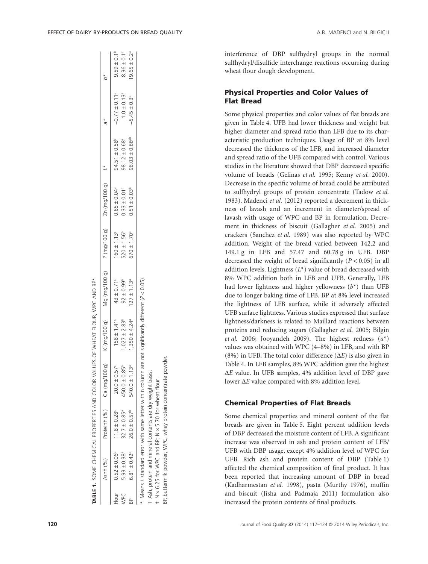|          | Ash $+$ $(%)$                |                                                                                                                    | Protein# (%) Ca (mg/100 g)    | $K$ (mg/100 g)                                 |                             |                             | *1 (0 001/021 OD (1 0 001/021 OD 1/021 OD 1/021 OD 1/021 OD 1/021 OD 1/021 OD 1/021 OD 1/021 OD 1/02 |                               |                               |                              |
|----------|------------------------------|--------------------------------------------------------------------------------------------------------------------|-------------------------------|------------------------------------------------|-----------------------------|-----------------------------|------------------------------------------------------------------------------------------------------|-------------------------------|-------------------------------|------------------------------|
| $-10$ ur | $0.52 \pm 0.06^b$            | $11.8 \pm 0.28$                                                                                                    | $20.0 \pm 0.57$ <sup>c</sup>  | $158 \pm 1.41^c$                               | $43 \pm 0.71$ <sup>c</sup>  | $160 \pm 1.13$              | $0.65 \pm 0.04$ <sup>a</sup>                                                                         | $94.51 \pm 0.58^b$            | $-0.77 \pm 0.11$ <sup>a</sup> | $9.59 \pm 0.1^b$             |
| NPC      | $5.93 \pm 0.38$ <sup>a</sup> | $32.7 \pm 0.85$ <sup>a</sup>                                                                                       | $450.0 \pm 0.85^b$            | $1,027 \pm 2.83^b$                             | $92 \pm 0.99^b$             | $520 \pm 1.56^b$            | $0.33 \pm 0.01$ <sup>c</sup>                                                                         | $98.12 \pm 0.68$ <sup>a</sup> | $-1.0 \pm 0.13$ <sup>a</sup>  | $8.36 \pm 0.1^{\circ}$       |
|          | $6.81 \pm 0.42$ <sup>a</sup> | $26.0 \pm 0.57^b$                                                                                                  | $540.0 \pm 1.13$ <sup>a</sup> | $350 \pm 4.24$ <sup>a</sup>                    | $127 \pm 1.13$ <sup>a</sup> | $670 \pm 1.70$ <sup>a</sup> | $0.51 \pm 0.03^b$                                                                                    | $96.03 \pm 0.66^{ab}$         | $-5.45 \pm 0.3$ <sup>b</sup>  | $19.65 \pm 0.2$ <sup>a</sup> |
|          |                              | Means ± standard error with same letter within column<br>t Ash, protein and mineral contents are dry weight basis. |                               | are not significantly different $(P < 0.05)$ . |                             |                             |                                                                                                      |                               |                               |                              |
|          |                              |                                                                                                                    |                               |                                                |                             |                             |                                                                                                      |                               |                               |                              |

‡ N × 6.25 for WPC and BP; N × 5.70 for wheat flour. BP, buttermilk powder; WPC, whey protein concentrate powder.

 $\pm$  N  $\times$  6.25 for WPC and BP; N  $\times$  5.70 for wheat flour.

protein concentrate powder

whey p

3P, buttermilk powder; WPC.

SOME CHEMICAL PROPERTIES AND COLOR VALUES OF WHEAT FLOUR, WPC AND BP\*

TABLE 1. SOME CHEMICAL PROPERTIES AND COLOR VALUES OF WHEAT FLOUR, WPC AND BP

**TABLE 1.**

interference of DBP sulfhydryl groups in the normal sulfhydryl/disulfide interchange reactions occurring during wheat flour dough development.

## **Physical Properties and Color Values of Flat Bread**

Some physical properties and color values of flat breads are given in Table 4. UFB had lower thickness and weight but higher diameter and spread ratio than LFB due to its characteristic production techniques. Usage of BP at 8% level decreased the thickness of the LFB, and increased diameter and spread ratio of the UFB compared with control. Various studies in the literature showed that DBP decreased specific volume of breads (Gelinas *et al.* 1995; Kenny *et al.* 2000). Decrease in the specific volume of bread could be attributed to sulfhydryl groups of protein concentrate (Tadow *et al.* 1983). Madenci *et al.* (2012) reported a decrement in thickness of lavash and an increment in diameter/spread of lavash with usage of WPC and BP in formulation. Decrement in thickness of biscuit (Gallagher *et al.* 2005) and crackers (Sanchez *et al.* 1989) was also reported by WPC addition. Weight of the bread varied between 142.2 and 149.1 g in LFB and 57.47 and 60.78 g in UFB. DBP decreased the weight of bread significantly (*P* < 0.05) in all addition levels. Lightness (*L*\*) value of bread decreased with 8% WPC addition both in LFB and UFB. Generally, LFB had lower lightness and higher yellowness (*b*\*) than UFB due to longer baking time of LFB. BP at 8% level increased the lightness of LFB surface, while it adversely affected UFB surface lightness. Various studies expressed that surface lightness/darkness is related to Maillard reactions between proteins and reducing sugars (Gallagher *et al.* 2005; Bilgin *et al.* 2006; Jooyandeh 2009). The highest redness (*a*\*) values was obtained with WPC (4–8%) in LFB, and with BP (8%) in UFB. The total color difference (Δ*E*) is also given in Table 4. In LFB samples, 8% WPC addition gave the highest Δ*E* value. In UFB samples, 4% addition level of DBP gave lower Δ*E* value compared with 8% addition level.

## **Chemical Properties of Flat Breads**

Some chemical properties and mineral content of the flat breads are given in Table 5. Eight percent addition levels of DBP decreased the moisture content of LFB. A significant increase was observed in ash and protein content of LFB/ UFB with DBP usage, except 4% addition level of WPC for UFB. Rich ash and protein content of DBP (Table 1) affected the chemical composition of final product. It has been reported that increasing amount of DBP in bread (Kadharmestan *et al.* 1998), pasta (Murthy 1976), muffin and biscuit (Jisha and Padmaja 2011) formulation also increased the protein contents of final products.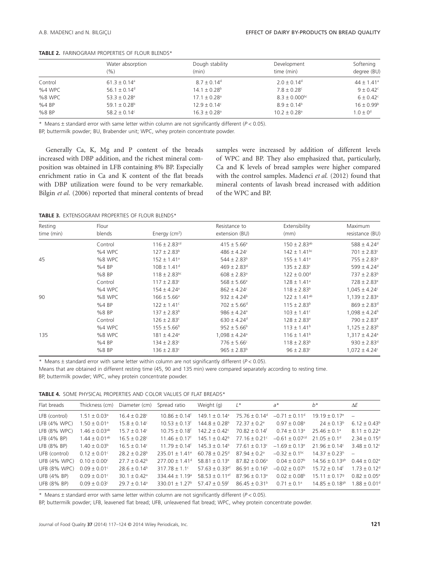|         | Water absorption<br>$(\% )$  | Dough stability<br>(min)     | Development<br>time (min)    | Softening<br>degree (BU) |
|---------|------------------------------|------------------------------|------------------------------|--------------------------|
| Control | $61.3 \pm 0.14$ <sup>a</sup> | $8.7 \pm 0.14$ <sup>d</sup>  | $2.0 \pm 0.14$ <sup>d</sup>  | $44 \pm 1.41^{\circ}$    |
| %4 WPC  | 56.1 $\pm$ 0.14 <sup>d</sup> | $14.1 \pm 0.28^{\circ}$      | $7.8 \pm 0.28$ c             | $9 + 0.42^{\circ}$       |
| %8 WPC  | $53.3 + 0.28$ <sup>e</sup>   | $17.1 + 0.28$ <sup>a</sup>   | $8.3 \pm 0.000^{bc}$         | $6 + 0.42^{\circ}$       |
| %4 BP   | 59.1 $\pm$ 0.28 <sup>b</sup> | $12.9 + 0.14$ <sup>c</sup>   | $8.9 \pm 0.14^b$             | $16 + 0.99^b$            |
| %8 BP   | 58.2 ± 0.14 $c$              | $16.3 \pm 0.28$ <sup>a</sup> | $10.2 \pm 0.28$ <sup>a</sup> | $1.0 \pm 0^d$            |

**TABLE 2.** FARINOGRAM PROPERTIES OF FLOUR BLENDS\*

\* Means ± standard error with same letter within column are not significantly different (*P* < 0.05).

BP, buttermilk powder; BU, Brabender unit; WPC, whey protein concentrate powder.

Generally Ca, K, Mg and P content of the breads increased with DBP addition, and the richest mineral composition was obtained in LFB containing 8% BP. Especially enrichment ratio in Ca and K content of the flat breads with DBP utilization were found to be very remarkable. Bilgin *et al.* (2006) reported that mineral contents of bread samples were increased by addition of different levels of WPC and BP. They also emphasized that, particularly, Ca and K levels of bread samples were higher compared with the control samples. Madenci *et al.* (2012) found that mineral contents of lavash bread increased with addition of the WPC and BP.

**TABLE 3.** EXTENSOGRAM PROPERTIES OF FLOUR BLENDS\*

| Resting<br>time (min) | Flour<br>blends | Energy $(cm2)$               | Resistance to<br>extension (BU) | Extensibility<br>(mm)        | Maximum<br>resistance (BU)    |
|-----------------------|-----------------|------------------------------|---------------------------------|------------------------------|-------------------------------|
|                       | Control         | $116 \pm 2.83$ <sup>cd</sup> | $415 \pm 5.66^{\circ}$          | $150 \pm 2.83$ <sup>ab</sup> | $588 \pm 4.24$ <sup>d</sup>   |
|                       | %4 WPC          | $127 \pm 2.83^b$             | $486 \pm 4.24^{\circ}$          | $142 \pm 1.41$ <sup>bc</sup> | $701 \pm 2.83$ <sup>c</sup>   |
| 45                    | %8 WPC          | $152 \pm 1.41$ <sup>a</sup>  | $544 \pm 2.83^b$                | $155 \pm 1.41^{\circ}$       | $755 \pm 2.83$ <sup>a</sup>   |
|                       | %4 BP           | $108 \pm 1.41$ <sup>d</sup>  | $469 \pm 2.83$ <sup>d</sup>     | $135 \pm 2.83^c$             | $599 \pm 4.24$ <sup>d</sup>   |
|                       | %8 BP           | $118 \pm 2.83$ <sup>bc</sup> | $608 \pm 2.83$ <sup>a</sup>     | $122 \pm 0.00$ <sup>d</sup>  | $737 \pm 2.83^b$              |
|                       | Control         | $117 \pm 2.83$ <sup>c</sup>  | $568 \pm 5.66^{\circ}$          | $128 \pm 1.41^{\circ}$       | $728 \pm 2.83^e$              |
|                       | %4 WPC          | $154 \pm 4.24$ <sup>a</sup>  | $862 \pm 4.24^{\circ}$          | $118 \pm 2.83^b$             | $1,045 \pm 4.24^c$            |
| 90                    | %8 WPC          | $166 \pm 5.66^{\circ}$       | $932 \pm 4.24^b$                | $122 \pm 1.41^{ab}$          | $1,139 \pm 2.83$ <sup>a</sup> |
|                       | %4 BP           | $122 \pm 1.41$ <sup>c</sup>  | $702 \pm 5.66$ <sup>d</sup>     | $115 \pm 2.83^b$             | $869 \pm 2.83$ <sup>d</sup>   |
|                       | %8 BP           | $137 \pm 2.83^b$             | $986 \pm 4.24$ <sup>a</sup>     | $103 \pm 1.41^c$             | $1,098 \pm 4.24^b$            |
|                       | Control         | $126 \pm 2.83$ <sup>c</sup>  | $630 \pm 4.24$ <sup>d</sup>     | $128 \pm 2.83^{\circ}$       | $790 \pm 2.83^e$              |
|                       | %4 WPC          | $155 \pm 5.66^{\circ}$       | $952 \pm 5.66^b$                | $113 \pm 1.41^b$             | $1,125 \pm 2.83^b$            |
| 135                   | %8 WPC          | $181 \pm 4.24^a$             | $1,098 \pm 4.24$ <sup>a</sup>   | $116 \pm 1.41^b$             | $1,317 \pm 4.24$ <sup>a</sup> |
|                       | %4 BP           | $134 \pm 2.83^{\circ}$       | $776 \pm 5.66^{\circ}$          | $118 \pm 2.83^b$             | $930 \pm 2.83$ <sup>d</sup>   |
|                       | %8 BP           | $136 \pm 2.83^c$             | $965 \pm 2.83^b$                | $96 \pm 2.83^c$              | $1,072 \pm 4.24^c$            |

\* Means ± standard error with same letter within column are not significantly different (*P* < 0.05).

Means that are obtained in different resting time (45, 90 and 135 min) were compared separately according to resting time.

BP, buttermilk powder; WPC, whey protein concentrate powder.

**TABLE 4.** SOME PHYSICAL PROPERTIES AND COLOR VALUES OF FLAT BREADS\*

| Flat breads         | Thickness (cm)                | Diameter (cm)                | Spread ratio                   | Weight (g)                     | $L^*$                         | $a^*$                         | $h^*$                          | ΔE                           |
|---------------------|-------------------------------|------------------------------|--------------------------------|--------------------------------|-------------------------------|-------------------------------|--------------------------------|------------------------------|
| LFB (control)       | $1.51 \pm 0.03^{\circ}$       | $16.4 \pm 0.28$ c            | $10.86 \pm 0.14$ <sup>f</sup>  | $149.1 \pm 0.14$ <sup>a</sup>  | $75.76 \pm 0.14$ <sup>d</sup> | $-0.71 \pm 0.11$ <sup>d</sup> | $19.19 \pm 0.17$ <sup>e</sup>  |                              |
| $LFB$ (4% WPC)      | $1.50 \pm 0.01$ <sup>a</sup>  | $15.8 \pm 0.14^c$            | $10.53 \pm 0.13$ <sup>f</sup>  | $144.8 \pm 0.28^{\circ}$       | $72.37 \pm 0.2$ <sup>e</sup>  | $0.97 \pm 0.08$ <sup>a</sup>  | $24 \pm 0.13^b$                | $6.12 \pm 0.43^b$            |
| $LFB$ (8% WPC)      | $1.46 \pm 0.03$ <sup>ab</sup> | $15.7 \pm 0.14^{\circ}$      | $10\,75 + 0\,18^{\mathrm{f}}$  | $142.2 + 0.42^{\circ}$         | $70.82 + 0.14$ <sup>f</sup>   | $0.74 \pm 0.13$ <sup>a</sup>  | $25.46 \pm 0.1$ <sup>a</sup>   | $8.11 \pm 0.22$ <sup>a</sup> |
| $LFB$ (4% BP)       | $1.44 \pm 0.01^{ab}$          | $16.5 \pm 0.28^{\circ}$      | $11.46 \pm 0.17$ <sup>t</sup>  | $145.1 \pm 0.42^b$             | $77.16 \pm 0.21$ <sup>c</sup> | $-0.61 + 0.07$ <sup>cd</sup>  | $21.05 \pm 0.1$ <sup>d</sup>   | $2.34 \pm 0.15^{\circ}$      |
| LFB (8% BP)         | $1.40 \pm 0.03^b$             | $16.5 \pm 0.14^{\circ}$      | $11\,79 + 0\,14'$              | $145.3 \pm 0.14^{\circ}$       | $77.61 \pm 0.13$ <sup>c</sup> | $-1.69 \pm 0.13$ <sup>e</sup> | $21.96 \pm 0.14$ <sup>c</sup>  | $3.48 + 0.12$ <sup>c</sup>   |
| UFB (control)       | $0.12 \pm 0.01^{\circ}$       | $28.2 \pm 0.28^{\circ}$      | $235.01 + 1.41$ <sup>e</sup>   | $60.78 + 0.25$ <sup>d</sup>    | $8794 + 02a$                  | $-0.32 \pm 0.1$ <sup>bc</sup> | $14.37 + 0.23^h$               |                              |
| <b>UFB (4% WPC)</b> | $0.10 \pm 0.00^{\circ}$       | $27.7 \pm 0.42^b$            | $277.00 \pm 1.41$ <sup>d</sup> | $58.81 \pm 0.13^e$             | $87.82 + 0.06^a$              | $0.04 \pm 0.07^{\rm b}$       | $14.56 \pm 0.13$ <sup>gh</sup> | $0.44 \pm 0.02$ <sup>e</sup> |
| UFB (8% WPC)        | $0.09 \pm 0.01^{\circ}$       | $28.6 \pm 0.14^b$            | $317.78 \pm 1.1$ <sup>c</sup>  | $57.63 + 0.33$ <sup>ef</sup>   | $86.91 \pm 0.16^b$            | $-0.02 \pm 0.07^{\circ}$      | $15.72 + 0.14$ <sup>f</sup>    | $1.73 \pm 0.12^d$            |
| UFB (4% BP)         | $0.09 \pm 0.01$ <sup>c</sup>  | $30.1 \pm 0.42$ <sup>a</sup> | $334.44 + 1.19a$               | 58.53 $\pm$ 0.11 <sup>ef</sup> | $87.96 \pm 0.13$ <sup>a</sup> | $0.02 \pm 0.08^{\circ}$       | $15.11 \pm 0.179$              | $0.82 \pm 0.05^{\circ}$      |
| <b>UFB (8% BP)</b>  | $0.09 \pm 0.03$ <sup>c</sup>  | $29.7 \pm 0.14$ <sup>a</sup> | 330 01 + 1 27 <sup>b</sup>     | 57 47 + 0.59 <sup>f</sup>      | $86.45 \pm 0.31^{\circ}$      | $0.71 \pm 0.1$ <sup>a</sup>   | $14.85 \pm 0.18$ <sup>gh</sup> | $1.88 \pm 0.01$ <sup>d</sup> |
|                     |                               |                              |                                |                                |                               |                               |                                |                              |

\* Means ± standard error with same letter within column are not significantly different (*P* < 0.05).

BP, buttermilk powder; LFB, leavened flat bread; UFB, unleavened flat bread; WPC, whey protein concentrate powder.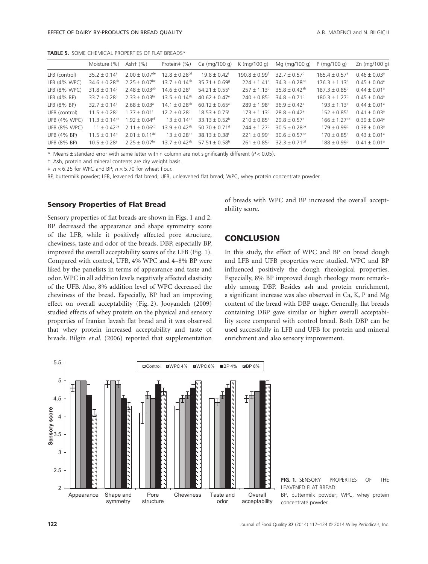**TABLE 5.** SOME CHEMICAL PROPERTIES OF FLAT BREADS\*

|                     | Moisture (%)                  | Asht $(\%)$                   | Protein# (%)                  | Ca (mq/100 q)                 | $K \ (mq/100 q)$            | Mg (mg/100 g)                | $P$ (mg/100 g)                | Zn (mg/100 g)                |
|---------------------|-------------------------------|-------------------------------|-------------------------------|-------------------------------|-----------------------------|------------------------------|-------------------------------|------------------------------|
| LFB (control)       | $35.2 \pm 0.14^a$             | $2.00 \pm 0.07$ <sup>de</sup> | $12.8 + 0.28$ <sup>cd</sup>   | $19.8 \pm 0.42$               | $190.8 + 0.99$ <sup>f</sup> | $32.7 + 0.57$ °              | $165.4 \pm 0.57$ <sup>e</sup> | $0.46 \pm 0.03$ <sup>a</sup> |
| $LFB$ (4% WPC)      | $34.6 \pm 0.28$ <sup>ab</sup> | $2.25 \pm 0.07$ <sup>bc</sup> | $13.7 \pm 0.14$ <sup>ab</sup> | $35.71 \pm 0.69$ <sup>g</sup> | $224 \pm 1.41$ <sup>d</sup> | $34.3 + 0.28$ <sup>bc</sup>  | $176.3 \pm 1.13$ <sup>c</sup> | $0.45 \pm 0.04$ <sup>a</sup> |
| $LFB$ (8% WPC)      | $31.8 \pm 0.14$ <sup>c</sup>  | $2.48 \pm 0.03^{ab}$          | $14.6 \pm 0.28$ <sup>a</sup>  | $54.21 \pm 0.55$ <sup>c</sup> | $257 \pm 1.13^b$            | $35.8 + 0.42$ <sup>ab</sup>  | $187.3 \pm 0.85^{\circ}$      | $0.44 \pm 0.01$ <sup>a</sup> |
| $LFB$ (4% BP)       | $33.7 + 0.28^b$               | $2.33 \pm 0.03$ <sup>bc</sup> | $13.5 \pm 0.14$ <sup>ab</sup> | $40.62 \pm 0.47$ <sup>e</sup> | $240 + 0.85$ °              | $34.8 \pm 0.71^{\circ}$      | $180.3 \pm 1.27$ <sup>c</sup> | $0.45 \pm 0.04$ <sup>a</sup> |
| $LFB (8\% BP)$      | $32.7 \pm 0.14^c$             | $2.68 \pm 0.03$ <sup>a</sup>  | $14.1 \pm 0.28$ <sup>ab</sup> | $60.12 \pm 0.65^{\circ}$      | $289 + 1.98$ <sup>a</sup>   | $36.9 \pm 0.42$ <sup>a</sup> | $193 + 1.13^a$                | $0.44 \pm 0.01$ <sup>a</sup> |
| UFB (control)       | $11.5 \pm 0.28$ <sup>d</sup>  | $1.77 \pm 0.01$ <sup>t</sup>  | $12.2 \pm 0.28$ <sup>d</sup>  | $18.53 \pm 0.75$              | $173 \pm 1.13$ <sup>9</sup> | $28.8 \pm 0.42$ <sup>e</sup> | $152 + 0.85$ <sup>f</sup>     | $0.41 \pm 0.03$ <sup>a</sup> |
| <b>UFB (4% WPC)</b> | $11.3 \pm 0.14$ <sup>de</sup> | $1.92 + 0.04$ <sup>ef</sup>   | $13 \pm 0.14$ <sup>bc</sup>   | $33.13 \pm 0.52$ <sup>h</sup> | $210 \pm 0.85^{\circ}$      | $29.8 \pm 0.57$ <sup>e</sup> | $166 + 1.27$ <sup>de</sup>    | $0.39 + 0.04$ <sup>a</sup>   |
| <b>UFB (8% WPC)</b> | $11 + 0.42^{\text{de}}$       | $2.11 \pm 0.06^{cd}$          | $13.9 + 0.42^{ab}$            | $50.70 \pm 0.71$ <sup>d</sup> | $244 \pm 1.27^{\circ}$      | $30.5 + 0.28$ <sup>de</sup>  | $179 + 0.99^{\circ}$          | $0.38 \pm 0.03$ <sup>a</sup> |
| UFB (4% BP)         | $11.5 \pm 0.14^{\circ}$       | $2.01 \pm 0.11^{\text{de}}$   | $13 + 0.28$ <sup>bc</sup>     | $38.13 + 0.38$ <sup>f</sup>   | $221 + 0.99$ <sup>d</sup>   | $30.6 + 0.57$ <sup>de</sup>  | $170 \pm 0.85$ <sup>d</sup>   | $0.43 \pm 0.01$ <sup>a</sup> |
| UFB (8% BP)         | $10.5 \pm 0.28$ <sup>e</sup>  | $2.25 \pm 0.07$ <sup>bc</sup> | $13.7 \pm 0.42$ <sup>ab</sup> | $5751 + 058$                  | $261 \pm 0.85^{\circ}$      | 32 3 + 0 71 <sup>cd</sup>    | $188 + 0.99^{\circ}$          | $0.41 \pm 0.01$ <sup>a</sup> |

\* Means ± standard error with same letter within column are not significantly different (*P* < 0.05).

† Ash, protein and mineral contents are dry weight basis.

 $\frac{1}{2}$  *n* × 6.25 for WPC and BP; *n* × 5.70 for wheat flour.

BP, buttermilk powder; LFB, leavened flat bread; UFB, unleavened flat bread; WPC, whey protein concentrate powder.

#### **Sensory Properties of Flat Bread**

Sensory properties of flat breads are shown in Figs. 1 and 2. BP decreased the appearance and shape symmetry score of the LFB, while it positively affected pore structure, chewiness, taste and odor of the breads. DBP, especially BP, improved the overall acceptability scores of the LFB (Fig. 1). Compared with control, UFB, 4% WPC and 4–8% BP were liked by the panelists in terms of appearance and taste and odor. WPC in all addition levels negatively affected elasticity of the UFB. Also, 8% addition level of WPC decreased the chewiness of the bread. Especially, BP had an improving effect on overall acceptability (Fig. 2). Jooyandeh (2009) studied effects of whey protein on the physical and sensory properties of Iranian lavash flat bread and it was observed that whey protein increased acceptability and taste of breads. Bilgin *et al.* (2006) reported that supplementation

of breads with WPC and BP increased the overall acceptability score.

## **CONCLUSION**

In this study, the effect of WPC and BP on bread dough and LFB and UFB properties were studied. WPC and BP influenced positively the dough rheological properties. Especially, 8% BP improved dough rheology more remarkably among DBP. Besides ash and protein enrichment, a significant increase was also observed in Ca, K, P and Mg content of the bread with DBP usage. Generally, flat breads containing DBP gave similar or higher overall acceptability score compared with control bread. Both DBP can be used successfully in LFB and UFB for protein and mineral enrichment and also sensory improvement.



**122 122 122 122 122 122 122 122 122 122 122 122 122 122 122 122 122 122 122 122 122 122 122 122 122 122 122 122 122 122 122 122 122 122 122 122 122**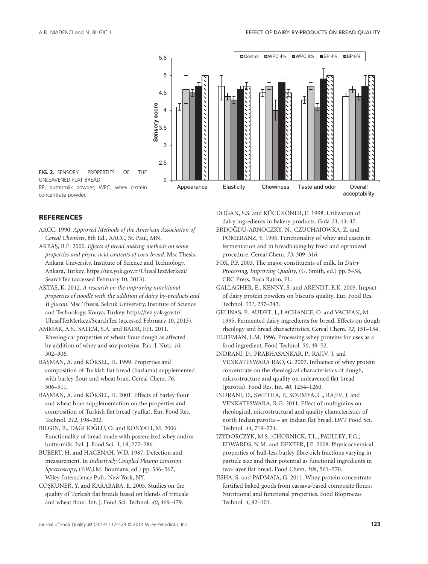

UNLEAVENED FLAT BREAD BP, buttermilk powder; WPC, whey protein concentrate powder.

#### **REFERENCES**

- AACC. 1990. *Approved Methods of the American Association of Cereal Chemists*, 8th Ed., AACC, St. Paul, MN.
- AKBAS¸, B.E. 2000. *Effects of bread making methods on some properties and phytic acid contents of corn bread*. Msc Thesis, Ankara University, Institute of Science and Technology, Ankara, Turkey. https://tez.yok.gov.tr/UlusalTezMerkezi/ SearchTez (accessed February 10, 2013).
- AKTAS¸, K. 2012. *A research on the improving nutritional properties of noodle with the addition of dairy by-products and Β glucan*. Msc Thesis, Selcuk University, Institute of Science and Technology, Konya, Turkey. https://tez.yok.gov.tr/ UlusalTezMerkezi/SearchTez (accessed February 10, 2013).
- AMMAR, A.S., SALEM, S.A. and BADR, F.H. 2011. Rheological properties of wheat flour dough as affected by addition of whey and soy proteins. Pak. J. Nutr. *10*, 302–306.
- BAŞMAN, A. and KÖKSEL, H. 1999. Properties and composition of Turkish flat bread (bazlama) supplemented with barley flour and wheat bran. Cereal Chem. *76*, 506–511.
- BAŞMAN, A. and KÖKSEL, H. 2001. Effects of barley flour and wheat bran supplementation on the properties and composition of Turkish flat bread (yufka). Eur. Food Res. Technol. *212*, 198–202.
- BILGIN, B., DAĞLIOĞLU, O. and KONYALI, M. 2006. Functionality of bread made with pasteurized whey and/or buttermilk. Ital. J. Food Sci. *3*, 18, 277–286.
- BUBERT, H. and HAGENAH, W.D. 1987. Detection and measurement. In *Inductively Coupled Plasma Emission Spectroscopy*, (P.W.J.M. Boumans, ed.) pp. 536–567, Wiley-Interscience Pub., New York, NY.
- COŞKUNER, Y. and KARABABA, E. 2005. Studies on the quality of Turkish flat breads based on blends of triticale and wheat flour. Int. J. Food Sci. Technol. *40*, 469–479.

DOĞAN, S.S. and KÜCÜKÖNER, E. 1998. Utilization of dairy ingredients in bakery products. Gıda *23*, 43–47.

- ERDOĞDU-ARNOCZKY, N., CZUCHAJOWKA, Z. and POMERANZ, Y. 1996. Functionality of whey and casein in fermentation and in breadbaking by fixed and optimized procedure. Cereal Chem. *73*, 309–316.
- FOX, P.F. 2003. The major constituents of milk. In *Dairy Processing, Improving Quality*, (G. Smith, ed.) pp. 5–38, CRC Press, Boca Raton, FL.
- GALLAGHER, E., KENNY, S. and ARENDT, E.K. 2005. Impact of dairy protein powders on biscuits quality. Eur. Food Res. Technol. *221*, 237–243.
- GELINAS, P., AUDET, J., LACHANCE, O. and VACHAN, M. 1995. Fermented dairy ingredients for bread. Effects on dough rheology and bread characteristics. Cereal Chem. *72*, 151–154.
- HUFFMAN, L.M. 1996. Processing whey proteins for uses as a food ingredient. Food Technol. *50*, 49–52.
- INDRANI, D., PRABHASANKAR, P., RAJIV, J. and VENKATESWARA RAO, G. 2007. Influence of whey protein concentrate on the rheological characteristics of dough, microstructure and quality on unleavened flat bread (parotta). Food Res. Int. *40*, 1254–1260.
- INDRANI, D., SWETHA, P., SOUMYA, C., RAJIV, J. and VENKATESWARA, R.G. 2011. Effect of multigrains on rheological, microstructural and quality characteristics of north Indian parotta – an Indian flat bread. LWT Food Sci. Technol. *44*, 719–724.
- IZYDORCZYK, M.S., CHORNICK, T.L., PAULLEY, F.G., EDWARDS, N.M. and DEXTER, J.E. 2008. Physicochemical properties of hull-less barley fibre-rich fractions varying in particle size and their potential as functional ingredients in two-layer flat bread. Food Chem. *108*, 561–570.
- JISHA, S. and PADMAJA, G. 2011. Whey protein concentrate fortified baked goods from cassava-based composite flours: Nutritional and functional properties. Food Bioprocess Technol. *4*, 92–101.